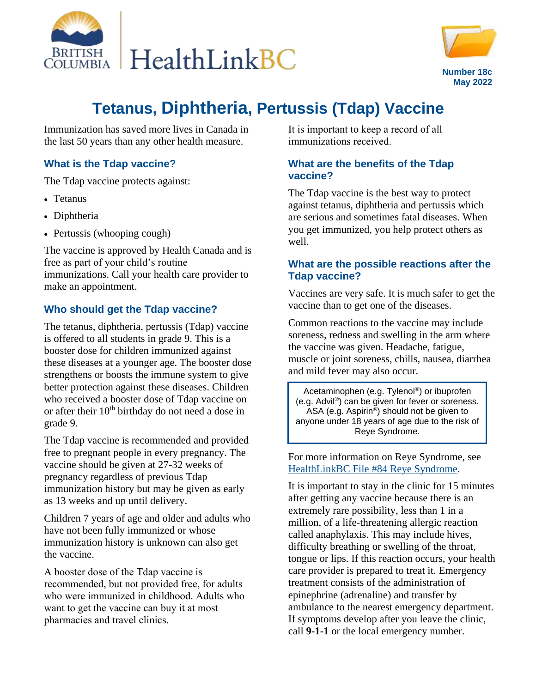



# **Tetanus, Diphtheria, Pertussis (Tdap) Vaccine**

Immunization has saved more lives in Canada in the last 50 years than any other health measure.

#### **What is the Tdap vaccine?** Ĩ

The Tdap vaccine protects against:

- Tetanus
- Diphtheria
- Pertussis (whooping cough)

The vaccine is approved by Health Canada and is free as part of your child's routine immunizations. Call your health care provider to make an appointment.

#### **Who should get the Tdap vaccine?**

The tetanus, diphtheria, pertussis (Tdap) vaccine is offered to all students in grade 9. This is a booster dose for children immunized against these diseases at a younger age. The booster dose strengthens or boosts the immune system to give better protection against these diseases. Children who received a booster dose of Tdap vaccine on or after their  $10<sup>th</sup>$  birthday do not need a dose in grade 9.

The Tdap vaccine is recommended and provided free to pregnant people in every pregnancy. The vaccine should be given at 27-32 weeks of pregnancy regardless of previous Tdap immunization history but may be given as early as 13 weeks and up until delivery.

Children 7 years of age and older and adults who have not been fully immunized or whose immunization history is unknown can also get the vaccine.

A booster dose of the Tdap vaccine is recommended, but not provided free, for adults who were immunized in childhood. Adults who want to get the vaccine can buy it at most pharmacies and travel clinics.

It is important to keep a record of all immunizations received.

### **What are the benefits of the Tdap vaccine?**

The Tdap vaccine is the best way to protect against tetanus, diphtheria and pertussis which are serious and sometimes fatal diseases. When you get immunized, you help protect others as well.

#### **What are the possible reactions after the Tdap vaccine?**

Vaccines are very safe. It is much safer to get the vaccine than to get one of the diseases.

Common reactions to the vaccine may include soreness, redness and swelling in the arm where the vaccine was given. Headache, fatigue, muscle or joint soreness, chills, nausea, diarrhea and mild fever may also occur.

Acetaminophen (e.g. Tylenol®) or ibuprofen (e.g. Advil®) can be given for fever or soreness. ASA (e.g. Aspirin®) should not be given to anyone under 18 years of age due to the risk of Reye Syndrome.

For more information on Reye Syndrome, see HealthLinkBC File [#84 Reye Syndrome.](https://www.healthlinkbc.ca/healthlinkbc-files/reye-syndrome)

It is important to stay in the clinic for 15 minutes after getting any vaccine because there is an extremely rare possibility, less than 1 in a million, of a life-threatening allergic reaction called anaphylaxis. This may include hives, difficulty breathing or swelling of the throat, tongue or lips. If this reaction occurs, your health care provider is prepared to treat it. Emergency treatment consists of the administration of epinephrine (adrenaline) and transfer by ambulance to the nearest emergency department. If symptoms develop after you leave the clinic, call **9-1-1** or the local emergency number.